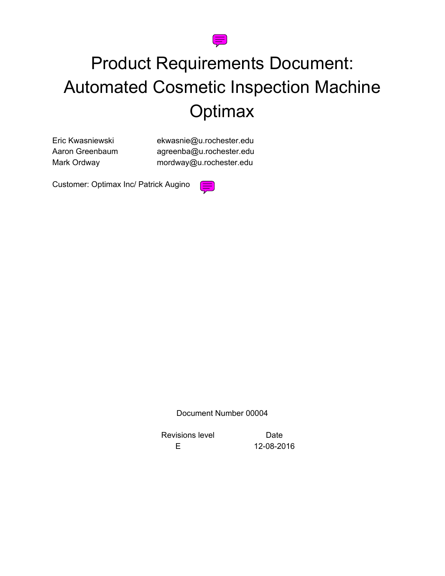

# Product Requirements Document: Automated Cosmetic Inspection Machine **Optimax**

Eric Kwasniewski ekwasnie@u.rochester.edu Aaron Greenbaum agreenba@u.rochester.edu Mark Ordway **mordway@u.rochester.edu** 

Customer: Optimax Inc/ Patrick Augino



Document Number 00004

Revisions level **Date** 

E 12-08-2016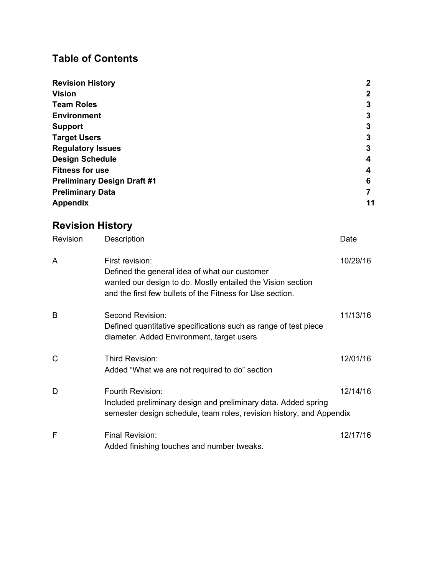## **Table of Contents**

| <b>Revision History</b>            | $\mathbf 2$ |
|------------------------------------|-------------|
| <b>Vision</b>                      | 2           |
| <b>Team Roles</b>                  | 3           |
| <b>Environment</b>                 | 3           |
| <b>Support</b>                     | 3           |
| <b>Target Users</b>                | 3           |
| <b>Regulatory Issues</b>           | 3           |
| <b>Design Schedule</b>             | 4           |
| <b>Fitness for use</b>             | 4           |
| <b>Preliminary Design Draft #1</b> | 6           |
| <b>Preliminary Data</b>            |             |
| <b>Appendix</b>                    | 11          |

# **Revision History**

| Revision     | Description                                                                                                                                                                                  | Date     |
|--------------|----------------------------------------------------------------------------------------------------------------------------------------------------------------------------------------------|----------|
| A            | First revision:<br>Defined the general idea of what our customer<br>wanted our design to do. Mostly entailed the Vision section<br>and the first few bullets of the Fitness for Use section. | 10/29/16 |
| B            | Second Revision:<br>Defined quantitative specifications such as range of test piece<br>diameter. Added Environment, target users                                                             | 11/13/16 |
| $\mathsf{C}$ | Third Revision:<br>Added "What we are not required to do" section                                                                                                                            | 12/01/16 |
| D            | Fourth Revision:<br>Included preliminary design and preliminary data. Added spring<br>semester design schedule, team roles, revision history, and Appendix                                   | 12/14/16 |
| F            | Final Revision:<br>Added finishing touches and number tweaks.                                                                                                                                | 12/17/16 |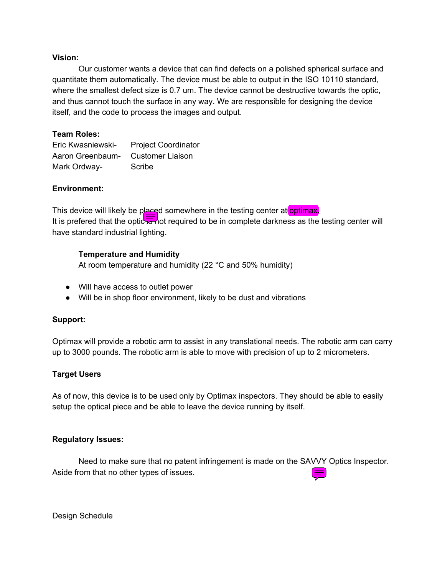## **Vision:**

Our customer wants a device that can find defects on a polished spherical surface and quantitate them automatically. The device must be able to output in the ISO 10110 standard, where the smallest defect size is 0.7 um. The device cannot be destructive towards the optic, and thus cannot touch the surface in any way. We are responsible for designing the device itself, and the code to process the images and output.

## **Team Roles:**

| Eric Kwasniewski- | <b>Project Coordinator</b> |
|-------------------|----------------------------|
| Aaron Greenbaum-  | Customer Liaison           |
| Mark Ordway-      | Scribe                     |

## **Environment:**

This device will likely be placed somewhere in the testing center at optimax. It is prefered that the optic  $\frac{1}{2}$  ot required to be in complete darkness as the testing center will have standard industrial lighting.

## **Temperature and Humidity**

At room temperature and humidity (22 °C and 50% humidity)

- Will have access to outlet power
- Will be in shop floor environment, likely to be dust and vibrations

## **Support:**

Optimax will provide a robotic arm to assist in any translational needs. The robotic arm can carry up to 3000 pounds. The robotic arm is able to move with precision of up to 2 micrometers.

## **Target Users**

As of now, this device is to be used only by Optimax inspectors. They should be able to easily setup the optical piece and be able to leave the device running by itself.

## **Regulatory Issues:**

Need to make sure that no patent infringement is made on the SAVVY Optics Inspector. Aside from that no other types of issues.

Design Schedule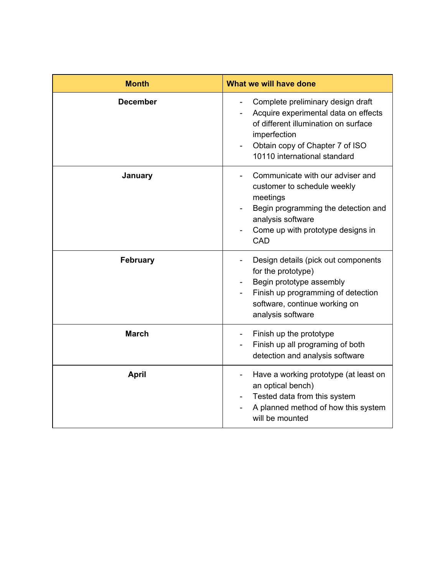| <b>Month</b>    | What we will have done                                                                                                                                                                               |
|-----------------|------------------------------------------------------------------------------------------------------------------------------------------------------------------------------------------------------|
| <b>December</b> | Complete preliminary design draft<br>Acquire experimental data on effects<br>of different illumination on surface<br>imperfection<br>Obtain copy of Chapter 7 of ISO<br>10110 international standard |
| January         | Communicate with our adviser and<br>customer to schedule weekly<br>meetings<br>Begin programming the detection and<br>analysis software<br>Come up with prototype designs in<br>CAD                  |
| <b>February</b> | Design details (pick out components<br>for the prototype)<br>Begin prototype assembly<br>Finish up programming of detection<br>software, continue working on<br>analysis software                    |
| <b>March</b>    | Finish up the prototype<br>Finish up all programing of both<br>detection and analysis software                                                                                                       |
| <b>April</b>    | Have a working prototype (at least on<br>an optical bench)<br>Tested data from this system<br>A planned method of how this system<br>will be mounted                                                 |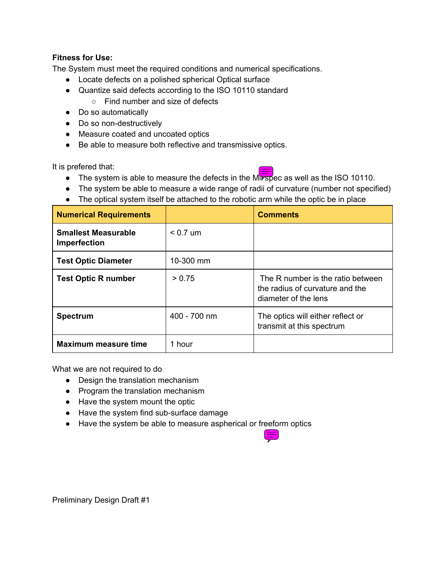## **Fitness for Use:**

The System must meet the required conditions and numerical specifications.

- Locate defects on a polished spherical Optical surface
- Quantize said defects according to the ISO 10110 standard
	- Find number and size of defects
- Do so automatically
- Do so non-destructively
- Measure coated and uncoated optics
- Be able to measure both reflective and transmissive optics.

It is prefered that:

- $\bullet$  The system is able to measure the defects in the Millespec as well as the ISO 10110.
- The system be able to measure a wide range of radii of curvature (number not specified)
- The optical system itself be attached to the robotic arm while the optic be in place

| <b>Numerical Requirements</b>              |              | <b>Comments</b>                                                                              |
|--------------------------------------------|--------------|----------------------------------------------------------------------------------------------|
| <b>Smallest Measurable</b><br>Imperfection | $< 0.7$ um   |                                                                                              |
| <b>Test Optic Diameter</b>                 | 10-300 mm    |                                                                                              |
| <b>Test Optic R number</b>                 | > 0.75       | The R number is the ratio between<br>the radius of curvature and the<br>diameter of the lens |
| <b>Spectrum</b>                            | 400 - 700 nm | The optics will either reflect or<br>transmit at this spectrum                               |
| <b>Maximum measure time</b>                | 1 hour       |                                                                                              |

What we are not required to do

- Design the translation mechanism
- Program the translation mechanism
- Have the system mount the optic
- Have the system find sub-surface damage
- Have the system be able to measure aspherical or freeform optics



Preliminary Design Draft #1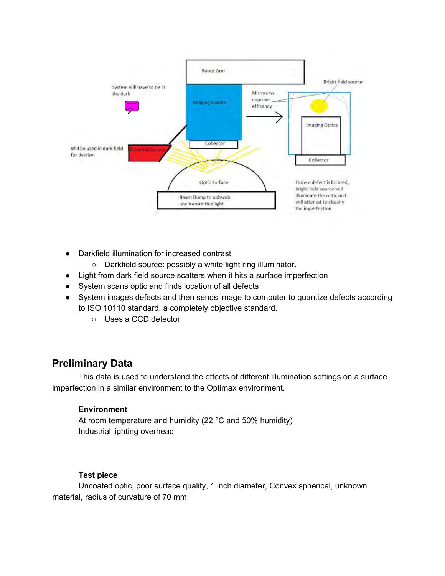

- Darkfield illumination for increased contrast
	- Darkfield source: possibly a white light ring illuminator.
- Light from dark field source scatters when it hits a surface imperfection
- System scans optic and finds location of all defects
- System images defects and then sends image to computer to quantize defects according to ISO 10110 standard, a completely objective standard.
	- Uses a CCD detector

## **Preliminary Data**

This data is used to understand the effects of different illumination settings on a surface imperfection in a similar environment to the Optimax environment.

## **Environment**

At room temperature and humidity (22 °C and 50% humidity) Industrial lighting overhead

## **Test piece**

Uncoated optic, poor surface quality, 1 inch diameter, Convex spherical, unknown material, radius of curvature of 70 mm.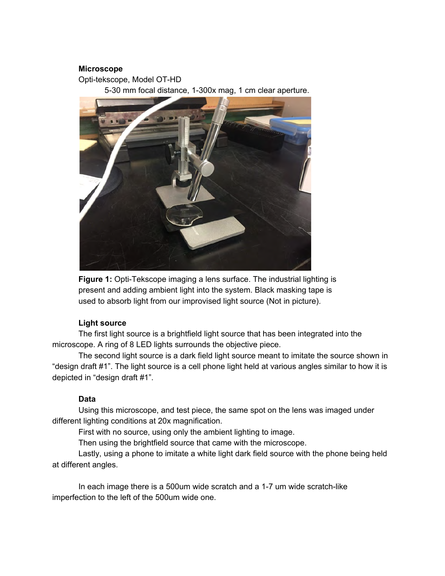## **Microscope**

Opti-tekscope, Model OT-HD

5-30 mm focal distance, 1-300x mag, 1 cm clear aperture.



**Figure 1:** Opti-Tekscope imaging a lens surface. The industrial lighting is present and adding ambient light into the system. Black masking tape is used to absorb light from our improvised light source (Not in picture).

#### **Light source**

The first light source is a brightfield light source that has been integrated into the microscope. A ring of 8 LED lights surrounds the objective piece.

The second light source is a dark field light source meant to imitate the source shown in "design draft #1". The light source is a cell phone light held at various angles similar to how it is depicted in "design draft #1".

#### **Data**

Using this microscope, and test piece, the same spot on the lens was imaged under different lighting conditions at 20x magnification.

First with no source, using only the ambient lighting to image.

Then using the brightfield source that came with the microscope.

Lastly, using a phone to imitate a white light dark field source with the phone being held at different angles.

In each image there is a 500um wide scratch and a 1-7 um wide scratch-like imperfection to the left of the 500um wide one.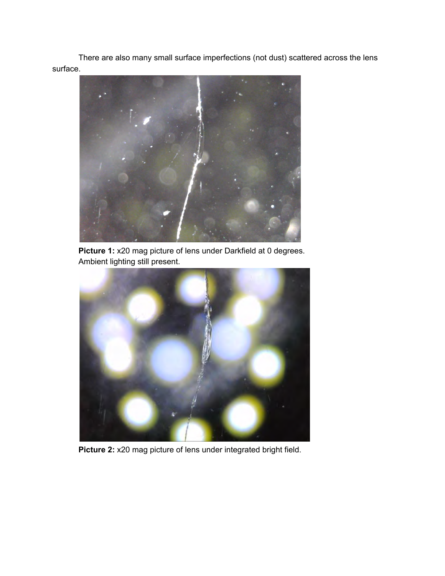There are also many small surface imperfections (not dust) scattered across the lens surface.



**Picture 1:** x20 mag picture of lens under Darkfield at 0 degrees. Ambient lighting still present.



**Picture 2:** x20 mag picture of lens under integrated bright field.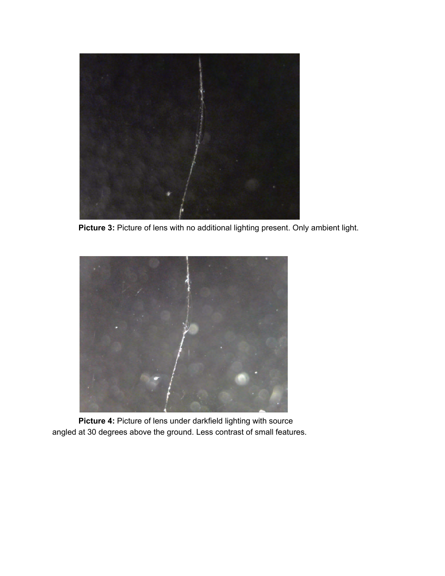

Picture 3: Picture of lens with no additional lighting present. Only ambient light.



**Picture 4:** Picture of lens under darkfield lighting with source angled at 30 degrees above the ground. Less contrast of small features.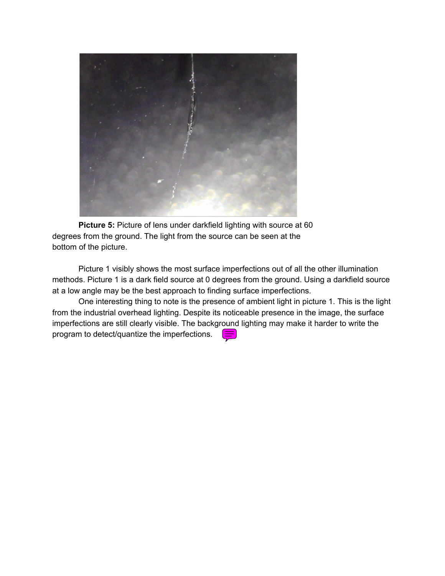

**Picture 5:** Picture of lens under darkfield lighting with source at 60 degrees from the ground. The light from the source can be seen at the bottom of the picture.

Picture 1 visibly shows the most surface imperfections out of all the other illumination methods. Picture 1 is a dark field source at 0 degrees from the ground. Using a darkfield source at a low angle may be the best approach to finding surface imperfections.

One interesting thing to note is the presence of ambient light in picture 1. This is the light from the industrial overhead lighting. Despite its noticeable presence in the image, the surface imperfections are still clearly visible. The background lighting may make it harder to write the program to detect/quantize the imperfections.  $\equiv$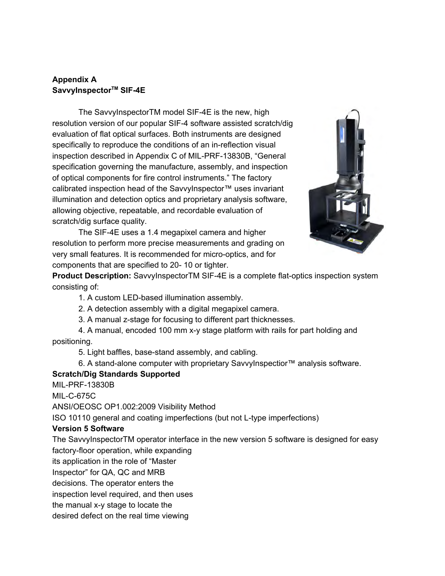## **Appendix A SavvyInspector TM SIF-4E**

The SavvyInspectorTM model SIF-4E is the new, high resolution version of our popular SIF-4 software assisted scratch/dig evaluation of flat optical surfaces. Both instruments are designed specifically to reproduce the conditions of an in-reflection visual inspection described in Appendix C of MIL-PRF-13830B, "General specification governing the manufacture, assembly, and inspection of optical components for fire control instruments." The factory calibrated inspection head of the SavvyInspector™ uses invariant illumination and detection optics and proprietary analysis software, allowing objective, repeatable, and recordable evaluation of scratch/dig surface quality.

The SIF-4E uses a 1.4 megapixel camera and higher resolution to perform more precise measurements and grading on very small features. It is recommended for micro-optics, and for components that are specified to 20- 10 or tighter.



**Product Description:** SavvyInspectorTM SIF-4E is a complete flat-optics inspection system consisting of:

1. A custom LED-based illumination assembly.

2. A detection assembly with a digital megapixel camera.

3. A manual z-stage for focusing to different part thicknesses.

4. A manual, encoded 100 mm x-y stage platform with rails for part holding and positioning.

5. Light baffles, base-stand assembly, and cabling.

6. A stand-alone computer with proprietary SavvyInspectior™ analysis software.

## **Scratch/Dig Standards Supported**

MIL-PRF-13830B

MIL-C-675C

ANSI/OEOSC OP1.002:2009 Visibility Method

ISO 10110 general and coating imperfections (but not L-type imperfections)

## **Version 5 Software**

The SavvyInspectorTM operator interface in the new version 5 software is designed for easy factory-floor operation, while expanding

its application in the role of "Master

Inspector" for QA, QC and MRB

decisions. The operator enters the

inspection level required, and then uses

the manual x-y stage to locate the

desired defect on the real time viewing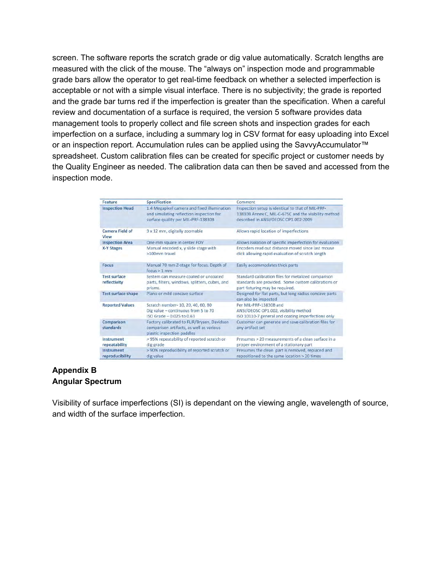screen. The software reports the scratch grade or dig value automatically. Scratch lengths are measured with the click of the mouse. The "always on" inspection mode and programmable grade bars allow the operator to get real-time feedback on whether a selected imperfection is acceptable or not with a simple visual interface. There is no subjectivity; the grade is reported and the grade bar turns red if the imperfection is greater than the specification. When a careful review and documentation of a surface is required, the version 5 software provides data management tools to properly collect and file screen shots and inspection grades for each imperfection on a surface, including a summary log in CSV format for easy uploading into Excel or an inspection report. Accumulation rules can be applied using the SavvyAccumulator™ spreadsheet. Custom calibration files can be created for specific project or customer needs by the Quality Engineer as needed. The calibration data can then be saved and accessed from the inspection mode.

| Feature                             | <b>Specification</b>                                                                                                          | Comment                                                                                                                                           |
|-------------------------------------|-------------------------------------------------------------------------------------------------------------------------------|---------------------------------------------------------------------------------------------------------------------------------------------------|
| <b>Inspection Head</b>              | 1.4 Megapixel camera and fixed illumination<br>and simulating reflection inspection for<br>surface quality per MIL-PRF-13830B | Inspection setup is identical to that of MIL-PRF-<br>13830B Annex C. MIL-C-675C and the visibility method<br>described in ANSI/OEOSC OP1.002:2009 |
| Camera Field of<br>View             | 9 x 12 mm, digitally zoomable                                                                                                 | Allows rapid location of imperfections                                                                                                            |
| <b>Inspection Area</b>              | One mm square in center FOV                                                                                                   | Allows isolation of specific imperfection for evaluation                                                                                          |
| <b>X-Y Stages</b>                   | Manual encoded x, y slide stage with<br>>100mm travel                                                                         | Encoders read out distance moved since last mouse<br>click allowing rapid evaluation of scratch length                                            |
| <b>Focus</b>                        | Manual 70 mm Z-stage for focus. Depth of<br>focus > 1 mm                                                                      | Easily accommodates thick parts                                                                                                                   |
| <b>Test surface</b><br>reflectivity | System can measure coated or uncoated<br>parts, filters, windows, splitters, cubes, and<br>prisms.                            | Standard calibration files for metalized comparison<br>standards are provided. Some custom calibrations or<br>part fixturing may be required.     |
| <b>Test surface shape</b>           | Plano or mild concave surface                                                                                                 | Designed for flat parts, but long radius concave parts<br>can also be inspected                                                                   |
| <b>Reported Values</b>              | Scratch number- 10, 20, 40, 60, 80<br>Dig value - continuous from 5 to 70<br>ISO Grade - 0.025 to 0.63                        | Per MIL-PRF-13830B and<br>ANSI/OEOSC OP1.002, visibility method<br>ISO 10110-7 general and coating imperfections only                             |
| Comparison<br>standards             | Factory calibrated to FLIR/Brysen, Davidson<br>comparison artifacts, as well as various<br>plastic inspection paddles         | Customer can generate and save calibration files for<br>any artifact set                                                                          |
| Instrument<br>repeatability         | > 95% repeatability of reported scratch or<br>dig grade                                                                       | Presumes > 20 measurements of a clean surface in a<br>proper environment of a stationary part                                                     |
| Instrument<br>reproducibility       | > 90% reproducibility of reported scratch or<br>dig value                                                                     | Presumes the clean part is removed, replaced and<br>repositioned to the same location > 20 times                                                  |

## **Appendix B Angular Spectrum**

Visibility of surface imperfections (SI) is dependant on the viewing angle, wavelength of source, and width of the surface imperfection.